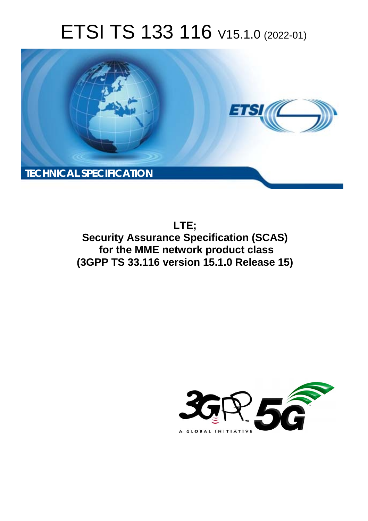# ETSI TS 133 116 V15.1.0 (2022-01)



**LTE; Security Assurance Specification (SCAS) for the MME network product class (3GPP TS 33.116 version 15.1.0 Release 15)** 

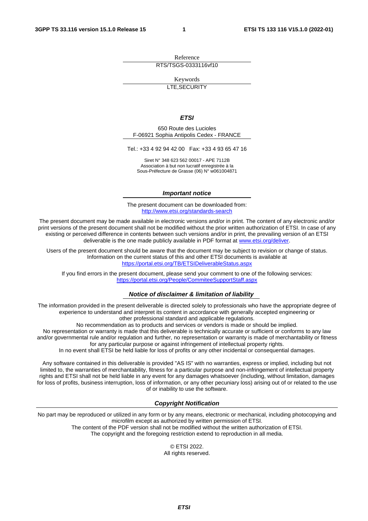Reference RTS/TSGS-0333116vf10

Keywords

LTE,SECURITY

#### *ETSI*

650 Route des Lucioles F-06921 Sophia Antipolis Cedex - FRANCE

Tel.: +33 4 92 94 42 00 Fax: +33 4 93 65 47 16

Siret N° 348 623 562 00017 - APE 7112B Association à but non lucratif enregistrée à la Sous-Préfecture de Grasse (06) N° w061004871

#### *Important notice*

The present document can be downloaded from: <http://www.etsi.org/standards-search>

The present document may be made available in electronic versions and/or in print. The content of any electronic and/or print versions of the present document shall not be modified without the prior written authorization of ETSI. In case of any existing or perceived difference in contents between such versions and/or in print, the prevailing version of an ETSI deliverable is the one made publicly available in PDF format at [www.etsi.org/deliver](http://www.etsi.org/deliver).

Users of the present document should be aware that the document may be subject to revision or change of status. Information on the current status of this and other ETSI documents is available at <https://portal.etsi.org/TB/ETSIDeliverableStatus.aspx>

If you find errors in the present document, please send your comment to one of the following services: <https://portal.etsi.org/People/CommiteeSupportStaff.aspx>

#### *Notice of disclaimer & limitation of liability*

The information provided in the present deliverable is directed solely to professionals who have the appropriate degree of experience to understand and interpret its content in accordance with generally accepted engineering or other professional standard and applicable regulations.

No recommendation as to products and services or vendors is made or should be implied.

No representation or warranty is made that this deliverable is technically accurate or sufficient or conforms to any law and/or governmental rule and/or regulation and further, no representation or warranty is made of merchantability or fitness for any particular purpose or against infringement of intellectual property rights.

In no event shall ETSI be held liable for loss of profits or any other incidental or consequential damages.

Any software contained in this deliverable is provided "AS IS" with no warranties, express or implied, including but not limited to, the warranties of merchantability, fitness for a particular purpose and non-infringement of intellectual property rights and ETSI shall not be held liable in any event for any damages whatsoever (including, without limitation, damages for loss of profits, business interruption, loss of information, or any other pecuniary loss) arising out of or related to the use of or inability to use the software.

#### *Copyright Notification*

No part may be reproduced or utilized in any form or by any means, electronic or mechanical, including photocopying and microfilm except as authorized by written permission of ETSI. The content of the PDF version shall not be modified without the written authorization of ETSI.

The copyright and the foregoing restriction extend to reproduction in all media.

© ETSI 2022. All rights reserved.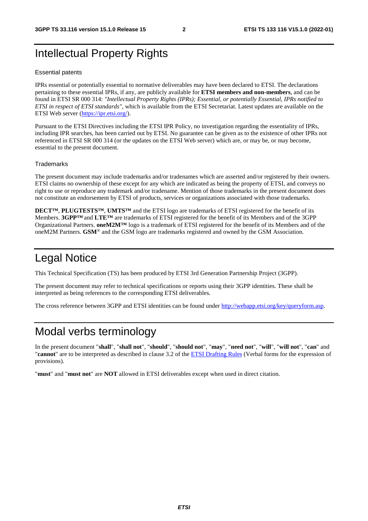# Intellectual Property Rights

#### Essential patents

IPRs essential or potentially essential to normative deliverables may have been declared to ETSI. The declarations pertaining to these essential IPRs, if any, are publicly available for **ETSI members and non-members**, and can be found in ETSI SR 000 314: *"Intellectual Property Rights (IPRs); Essential, or potentially Essential, IPRs notified to ETSI in respect of ETSI standards"*, which is available from the ETSI Secretariat. Latest updates are available on the ETSI Web server ([https://ipr.etsi.org/\)](https://ipr.etsi.org/).

Pursuant to the ETSI Directives including the ETSI IPR Policy, no investigation regarding the essentiality of IPRs, including IPR searches, has been carried out by ETSI. No guarantee can be given as to the existence of other IPRs not referenced in ETSI SR 000 314 (or the updates on the ETSI Web server) which are, or may be, or may become, essential to the present document.

#### **Trademarks**

The present document may include trademarks and/or tradenames which are asserted and/or registered by their owners. ETSI claims no ownership of these except for any which are indicated as being the property of ETSI, and conveys no right to use or reproduce any trademark and/or tradename. Mention of those trademarks in the present document does not constitute an endorsement by ETSI of products, services or organizations associated with those trademarks.

**DECT™**, **PLUGTESTS™**, **UMTS™** and the ETSI logo are trademarks of ETSI registered for the benefit of its Members. **3GPP™** and **LTE™** are trademarks of ETSI registered for the benefit of its Members and of the 3GPP Organizational Partners. **oneM2M™** logo is a trademark of ETSI registered for the benefit of its Members and of the oneM2M Partners. **GSM**® and the GSM logo are trademarks registered and owned by the GSM Association.

# Legal Notice

This Technical Specification (TS) has been produced by ETSI 3rd Generation Partnership Project (3GPP).

The present document may refer to technical specifications or reports using their 3GPP identities. These shall be interpreted as being references to the corresponding ETSI deliverables.

The cross reference between 3GPP and ETSI identities can be found under<http://webapp.etsi.org/key/queryform.asp>.

# Modal verbs terminology

In the present document "**shall**", "**shall not**", "**should**", "**should not**", "**may**", "**need not**", "**will**", "**will not**", "**can**" and "**cannot**" are to be interpreted as described in clause 3.2 of the [ETSI Drafting Rules](https://portal.etsi.org/Services/editHelp!/Howtostart/ETSIDraftingRules.aspx) (Verbal forms for the expression of provisions).

"**must**" and "**must not**" are **NOT** allowed in ETSI deliverables except when used in direct citation.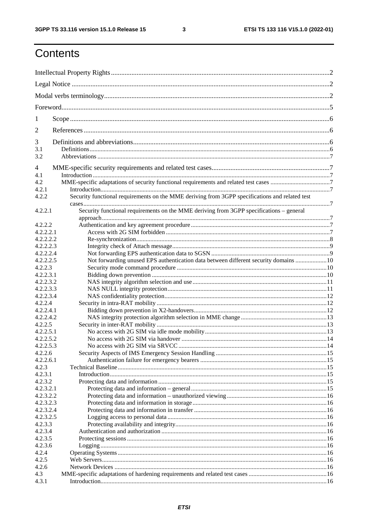$\mathbf{3}$ 

# Contents

| 1              |                                                                                                |  |  |  |  |  |
|----------------|------------------------------------------------------------------------------------------------|--|--|--|--|--|
| 2              |                                                                                                |  |  |  |  |  |
| 3              |                                                                                                |  |  |  |  |  |
| 3.1            |                                                                                                |  |  |  |  |  |
| 3.2            |                                                                                                |  |  |  |  |  |
| $\overline{4}$ |                                                                                                |  |  |  |  |  |
| 4.1            |                                                                                                |  |  |  |  |  |
| 4.2            |                                                                                                |  |  |  |  |  |
| 4.2.1          |                                                                                                |  |  |  |  |  |
| 4.2.2          | Security functional requirements on the MME deriving from 3GPP specifications and related test |  |  |  |  |  |
|                |                                                                                                |  |  |  |  |  |
| 4.2.2.1        | Security functional requirements on the MME deriving from 3GPP specifications - general        |  |  |  |  |  |
|                |                                                                                                |  |  |  |  |  |
| 4.2.2.2        |                                                                                                |  |  |  |  |  |
| 4.2.2.2.1      |                                                                                                |  |  |  |  |  |
| 4.2.2.2.2      |                                                                                                |  |  |  |  |  |
| 4.2.2.2.3      |                                                                                                |  |  |  |  |  |
| 4.2.2.2.4      |                                                                                                |  |  |  |  |  |
| 4.2.2.2.5      | Not forwarding unused EPS authentication data between different security domains  10           |  |  |  |  |  |
| 4.2.2.3        |                                                                                                |  |  |  |  |  |
| 4.2.2.3.1      |                                                                                                |  |  |  |  |  |
| 4.2.2.3.2      |                                                                                                |  |  |  |  |  |
| 4.2.2.3.3      |                                                                                                |  |  |  |  |  |
| 4.2.2.3.4      |                                                                                                |  |  |  |  |  |
| 4.2.2.4        |                                                                                                |  |  |  |  |  |
| 4.2.2.4.1      |                                                                                                |  |  |  |  |  |
| 4.2.2.4.2      |                                                                                                |  |  |  |  |  |
| 4.2.2.5        |                                                                                                |  |  |  |  |  |
| 4.2.2.5.1      |                                                                                                |  |  |  |  |  |
| 4.2.2.5.2      |                                                                                                |  |  |  |  |  |
| 4.2.2.5.3      |                                                                                                |  |  |  |  |  |
| 4.2.2.6        |                                                                                                |  |  |  |  |  |
| 4.2.2.6.1      |                                                                                                |  |  |  |  |  |
| 4.2.3          |                                                                                                |  |  |  |  |  |
| 4.2.3.1        |                                                                                                |  |  |  |  |  |
| 4.2.3.2        |                                                                                                |  |  |  |  |  |
| 4.2.3.2.1      |                                                                                                |  |  |  |  |  |
| 4.2.3.2.2      |                                                                                                |  |  |  |  |  |
| 4.2.3.2.3      |                                                                                                |  |  |  |  |  |
| 4.2.3.2.4      |                                                                                                |  |  |  |  |  |
| 4.2.3.2.5      |                                                                                                |  |  |  |  |  |
| 4.2.3.3        |                                                                                                |  |  |  |  |  |
| 4.2.3.4        |                                                                                                |  |  |  |  |  |
| 4.2.3.5        |                                                                                                |  |  |  |  |  |
| 4.2.3.6        |                                                                                                |  |  |  |  |  |
| 4.2.4          |                                                                                                |  |  |  |  |  |
| 4.2.5          |                                                                                                |  |  |  |  |  |
| 4.2.6          |                                                                                                |  |  |  |  |  |
| 4.3            |                                                                                                |  |  |  |  |  |
| 4.3.1          |                                                                                                |  |  |  |  |  |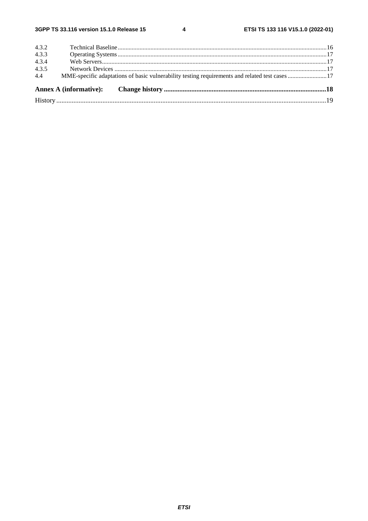$\overline{\mathbf{4}}$ 

|       | MME-specific adaptations of basic vulnerability testing requirements and related test cases 17 |  |
|-------|------------------------------------------------------------------------------------------------|--|
| 4.4   |                                                                                                |  |
| 4.3.5 |                                                                                                |  |
| 4.3.4 |                                                                                                |  |
| 4.3.3 |                                                                                                |  |
| 4.3.2 |                                                                                                |  |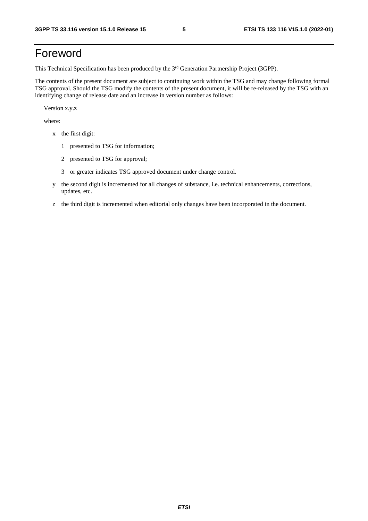# Foreword

This Technical Specification has been produced by the 3<sup>rd</sup> Generation Partnership Project (3GPP).

The contents of the present document are subject to continuing work within the TSG and may change following formal TSG approval. Should the TSG modify the contents of the present document, it will be re-released by the TSG with an identifying change of release date and an increase in version number as follows:

Version x.y.z

where:

- x the first digit:
	- 1 presented to TSG for information;
	- 2 presented to TSG for approval;
	- 3 or greater indicates TSG approved document under change control.
- y the second digit is incremented for all changes of substance, i.e. technical enhancements, corrections, updates, etc.
- z the third digit is incremented when editorial only changes have been incorporated in the document.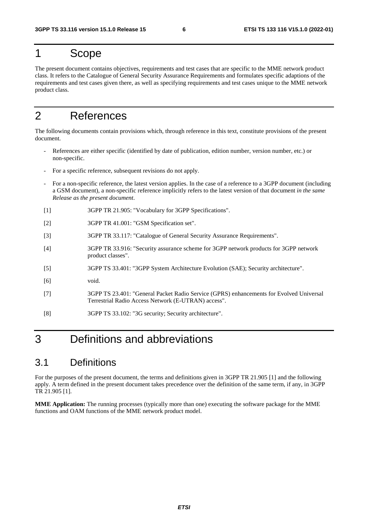# 1 Scope

The present document contains objectives, requirements and test cases that are specific to the MME network product class. It refers to the Catalogue of General Security Assurance Requirements and formulates specific adaptions of the requirements and test cases given there, as well as specifying requirements and test cases unique to the MME network product class.

# 2 References

The following documents contain provisions which, through reference in this text, constitute provisions of the present document.

- References are either specific (identified by date of publication, edition number, version number, etc.) or non-specific.
- For a specific reference, subsequent revisions do not apply.
- For a non-specific reference, the latest version applies. In the case of a reference to a 3GPP document (including a GSM document), a non-specific reference implicitly refers to the latest version of that document *in the same Release as the present document*.
- [1] 3GPP TR 21.905: "Vocabulary for 3GPP Specifications".
- [2] 3GPP TR 41.001: "GSM Specification set".
- [3] 3GPP TR 33.117: "Catalogue of General Security Assurance Requirements".
- [4] 3GPP TR 33.916: "Security assurance scheme for 3GPP network products for 3GPP network product classes".
- [5] 3GPP TS 33.401: "3GPP System Architecture Evolution (SAE); Security architecture".
- [6] void.
- [7] 3GPP TS 23.401: "General Packet Radio Service (GPRS) enhancements for Evolved Universal Terrestrial Radio Access Network (E-UTRAN) access".
- [8] 3GPP TS 33.102: "3G security; Security architecture".

# 3 Definitions and abbreviations

# 3.1 Definitions

For the purposes of the present document, the terms and definitions given in 3GPP TR 21.905 [1] and the following apply. A term defined in the present document takes precedence over the definition of the same term, if any, in 3GPP TR 21.905 [1].

**MME Application:** The running processes (typically more than one) executing the software package for the MME functions and OAM functions of the MME network product model.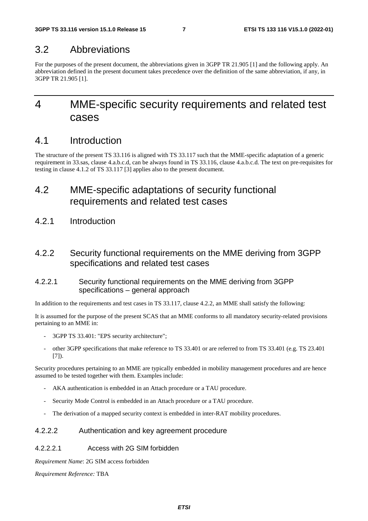# 3.2 Abbreviations

For the purposes of the present document, the abbreviations given in 3GPP TR 21.905 [1] and the following apply. An abbreviation defined in the present document takes precedence over the definition of the same abbreviation, if any, in 3GPP TR 21.905 [1].

# 4 MME-specific security requirements and related test cases

# 4.1 Introduction

The structure of the present TS 33.116 is aligned with TS 33.117 such that the MME-specific adaptation of a generic requirement in 33.sas, clause 4.a.b.c.d, can be always found in TS 33.116, clause 4.a.b.c.d. The text on pre-requisites for testing in clause 4.1.2 of TS 33.117 [3] applies also to the present document.

# 4.2 MME-specific adaptations of security functional requirements and related test cases

4.2.1 Introduction

# 4.2.2 Security functional requirements on the MME deriving from 3GPP specifications and related test cases

### 4.2.2.1 Security functional requirements on the MME deriving from 3GPP specifications – general approach

In addition to the requirements and test cases in TS 33.117, clause 4.2.2, an MME shall satisfy the following:

It is assumed for the purpose of the present SCAS that an MME conforms to all mandatory security-related provisions pertaining to an MME in:

- 3GPP TS 33.401: "EPS security architecture";
- other 3GPP specifications that make reference to TS 33.401 or are referred to from TS 33.401 (e.g. TS 23.401 [7]).

Security procedures pertaining to an MME are typically embedded in mobility management procedures and are hence assumed to be tested together with them. Examples include:

- AKA authentication is embedded in an Attach procedure or a TAU procedure.
- Security Mode Control is embedded in an Attach procedure or a TAU procedure.
- The derivation of a mapped security context is embedded in inter-RAT mobility procedures.

## 4.2.2.2 Authentication and key agreement procedure

### 4.2.2.2.1 Access with 2G SIM forbidden

*Requirement Name*: 2G SIM access forbidden

*Requirement Reference:* TBA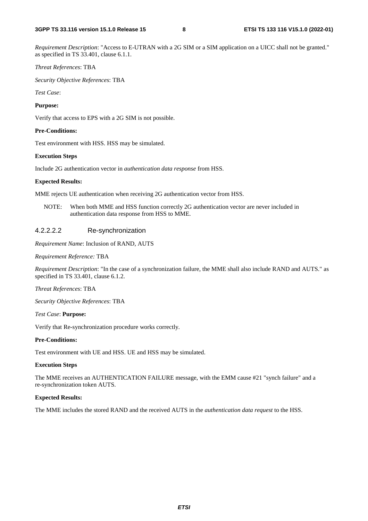*Requirement Description*: "Access to E-UTRAN with a 2G SIM or a SIM application on a UICC shall not be granted." as specified in TS 33.401, clause 6.1.1.

#### *Threat References*: TBA

*Security Objective References*: TBA

*Test Case*:

#### **Purpose:**

Verify that access to EPS with a 2G SIM is not possible.

#### **Pre-Conditions:**

Test environment with HSS. HSS may be simulated.

#### **Execution Steps**

Include 2G authentication vector in *authentication data response* from HSS.

#### **Expected Results:**

MME rejects UE authentication when receiving 2G authentication vector from HSS.

NOTE: When both MME and HSS function correctly 2G authentication vector are never included in authentication data response from HSS to MME.

#### 4.2.2.2.2 Re-synchronization

*Requirement Name*: Inclusion of RAND, AUTS

#### *Requirement Reference:* TBA

*Requirement Description*: "In the case of a synchronization failure, the MME shall also include RAND and AUTS." as specified in TS 33.401, clause 6.1.2.

*Threat References*: TBA

*Security Objective References*: TBA

*Test Case*: **Purpose:** 

Verify that Re-synchronization procedure works correctly.

#### **Pre-Conditions:**

Test environment with UE and HSS. UE and HSS may be simulated.

#### **Execution Steps**

The MME receives an AUTHENTICATION FAILURE message, with the EMM cause #21 "synch failure" and a re-synchronization token AUTS.

#### **Expected Results:**

The MME includes the stored RAND and the received AUTS in the *authentication data request* to the HSS.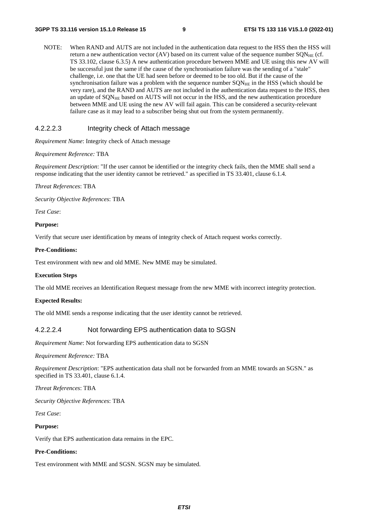NOTE: When RAND and AUTS are not included in the authentication data request to the HSS then the HSS will return a new authentication vector (AV) based on its current value of the sequence number  $\text{SQN}_{\text{HE}}$  (cf. TS 33.102, clause 6.3.5) A new authentication procedure between MME and UE using this new AV will be successful just the same if the cause of the synchronisation failure was the sending of a "stale" challenge, i.e. one that the UE had seen before or deemed to be too old. But if the cause of the synchronisation failure was a problem with the sequence number  $SON<sub>HE</sub>$  in the HSS (which should be very rare), and the RAND and AUTS are not included in the authentication data request to the HSS, then an update of SQN<sub>HE</sub> based on AUTS will not occur in the HSS, and the new authentication procedure between MME and UE using the new AV will fail again. This can be considered a security-relevant failure case as it may lead to a subscriber being shut out from the system permanently.

#### 4.2.2.2.3 Integrity check of Attach message

*Requirement Name*: Integrity check of Attach message

#### *Requirement Reference:* TBA

*Requirement Description*: "If the user cannot be identified or the integrity check fails, then the MME shall send a response indicating that the user identity cannot be retrieved." as specified in TS 33.401, clause 6.1.4.

*Threat References*: TBA

*Security Objective References*: TBA

*Test Case*:

#### **Purpose:**

Verify that secure user identification by means of integrity check of Attach request works correctly.

#### **Pre-Conditions:**

Test environment with new and old MME. New MME may be simulated.

#### **Execution Steps**

The old MME receives an Identification Request message from the new MME with incorrect integrity protection.

#### **Expected Results:**

The old MME sends a response indicating that the user identity cannot be retrieved.

#### 4.2.2.2.4 Not forwarding EPS authentication data to SGSN

*Requirement Name*: Not forwarding EPS authentication data to SGSN

*Requirement Reference:* TBA

*Requirement Description*: "EPS authentication data shall not be forwarded from an MME towards an SGSN." as specified in TS 33.401, clause 6.1.4.

*Threat References*: TBA

*Security Objective References*: TBA

*Test Case*:

#### **Purpose:**

Verify that EPS authentication data remains in the EPC.

#### **Pre-Conditions:**

Test environment with MME and SGSN. SGSN may be simulated.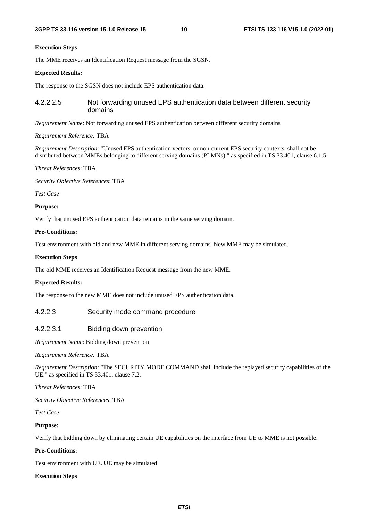#### **Execution Steps**

The MME receives an Identification Request message from the SGSN.

#### **Expected Results:**

The response to the SGSN does not include EPS authentication data.

#### 4.2.2.2.5 Not forwarding unused EPS authentication data between different security domains

*Requirement Name*: Not forwarding unused EPS authentication between different security domains

#### *Requirement Reference:* TBA

*Requirement Description*: "Unused EPS authentication vectors, or non-current EPS security contexts, shall not be distributed between MMEs belonging to different serving domains (PLMNs)." as specified in TS 33.401, clause 6.1.5.

*Threat References*: TBA

*Security Objective References*: TBA

*Test Case*:

#### **Purpose:**

Verify that unused EPS authentication data remains in the same serving domain.

#### **Pre-Conditions:**

Test environment with old and new MME in different serving domains. New MME may be simulated.

#### **Execution Steps**

The old MME receives an Identification Request message from the new MME.

#### **Expected Results:**

The response to the new MME does not include unused EPS authentication data.

#### 4.2.2.3 Security mode command procedure

#### 4.2.2.3.1 Bidding down prevention

*Requirement Name*: Bidding down prevention

*Requirement Reference:* TBA

*Requirement Description*: "The SECURITY MODE COMMAND shall include the replayed security capabilities of the UE." as specified in TS 33.401, clause 7.2.

#### *Threat References*: TBA

*Security Objective References*: TBA

*Test Case*:

#### **Purpose:**

Verify that bidding down by eliminating certain UE capabilities on the interface from UE to MME is not possible.

#### **Pre-Conditions:**

Test environment with UE. UE may be simulated.

#### **Execution Steps**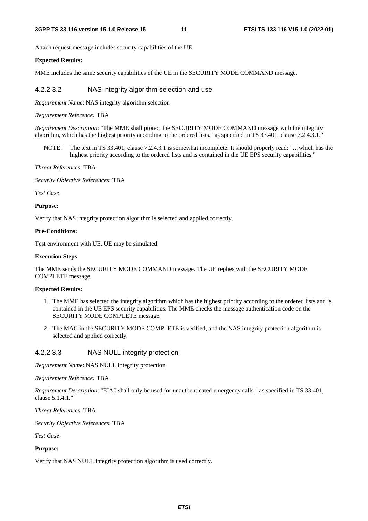Attach request message includes security capabilities of the UE.

#### **Expected Results:**

MME includes the same security capabilities of the UE in the SECURITY MODE COMMAND message.

#### 4.2.2.3.2 NAS integrity algorithm selection and use

*Requirement Name*: NAS integrity algorithm selection

#### *Requirement Reference:* TBA

*Requirement Description*: "The MME shall protect the SECURITY MODE COMMAND message with the integrity algorithm, which has the highest priority according to the ordered lists." as specified in TS 33.401, clause 7.2.4.3.1."

NOTE: The text in TS 33.401, clause 7.2.4.3.1 is somewhat incomplete. It should properly read: "…which has the highest priority according to the ordered lists and is contained in the UE EPS security capabilities."

*Threat References*: TBA

*Security Objective References*: TBA

*Test Case*:

#### **Purpose:**

Verify that NAS integrity protection algorithm is selected and applied correctly.

#### **Pre-Conditions:**

Test environment with UE. UE may be simulated.

#### **Execution Steps**

The MME sends the SECURITY MODE COMMAND message. The UE replies with the SECURITY MODE COMPLETE message.

#### **Expected Results:**

- 1. The MME has selected the integrity algorithm which has the highest priority according to the ordered lists and is contained in the UE EPS security capabilities. The MME checks the message authentication code on the SECURITY MODE COMPLETE message.
- 2. The MAC in the SECURITY MODE COMPLETE is verified, and the NAS integrity protection algorithm is selected and applied correctly.

#### 4.2.2.3.3 NAS NULL integrity protection

*Requirement Name*: NAS NULL integrity protection

#### *Requirement Reference:* TBA

*Requirement Description*: "EIA0 shall only be used for unauthenticated emergency calls." as specified in TS 33.401, clause 5.1.4.1."

*Threat References*: TBA

*Security Objective References*: TBA

*Test Case*:

#### **Purpose:**

Verify that NAS NULL integrity protection algorithm is used correctly.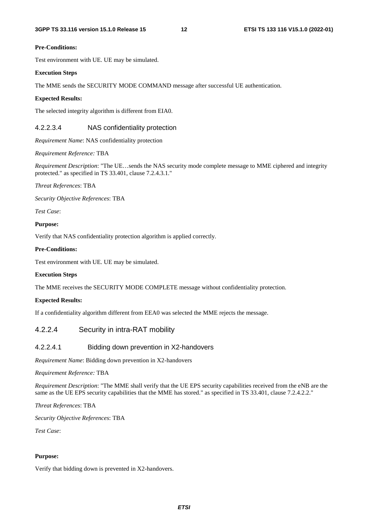#### **Pre-Conditions:**

Test environment with UE. UE may be simulated.

#### **Execution Steps**

The MME sends the SECURITY MODE COMMAND message after successful UE authentication.

#### **Expected Results:**

The selected integrity algorithm is different from EIA0.

### 4.2.2.3.4 NAS confidentiality protection

*Requirement Name*: NAS confidentiality protection

*Requirement Reference:* TBA

*Requirement Description*: "The UE…sends the NAS security mode complete message to MME ciphered and integrity protected." as specified in TS 33.401, clause 7.2.4.3.1."

#### *Threat References*: TBA

*Security Objective References*: TBA

*Test Case*:

#### **Purpose:**

Verify that NAS confidentiality protection algorithm is applied correctly.

#### **Pre-Conditions:**

Test environment with UE. UE may be simulated.

#### **Execution Steps**

The MME receives the SECURITY MODE COMPLETE message without confidentiality protection.

#### **Expected Results:**

If a confidentiality algorithm different from EEA0 was selected the MME rejects the message.

### 4.2.2.4 Security in intra-RAT mobility

#### 4.2.2.4.1 Bidding down prevention in X2-handovers

*Requirement Name*: Bidding down prevention in X2-handovers

*Requirement Reference:* TBA

*Requirement Description*: "The MME shall verify that the UE EPS security capabilities received from the eNB are the same as the UE EPS security capabilities that the MME has stored." as specified in TS 33.401, clause 7.2.4.2.2."

*Threat References*: TBA

*Security Objective References*: TBA

*Test Case*:

#### **Purpose:**

Verify that bidding down is prevented in X2-handovers.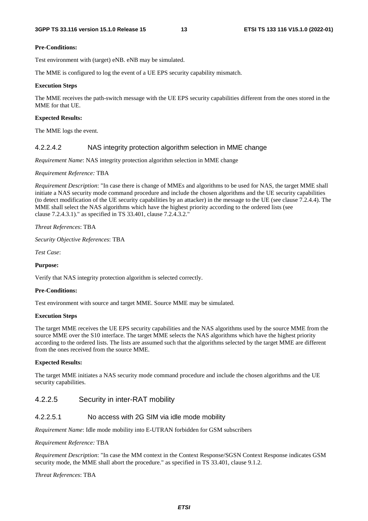#### **Pre-Conditions:**

Test environment with (target) eNB. eNB may be simulated.

The MME is configured to log the event of a UE EPS security capability mismatch.

#### **Execution Steps**

The MME receives the path-switch message with the UE EPS security capabilities different from the ones stored in the MME for that UE.

#### **Expected Results:**

The MME logs the event.

#### 4.2.2.4.2 NAS integrity protection algorithm selection in MME change

*Requirement Name*: NAS integrity protection algorithm selection in MME change

*Requirement Reference:* TBA

*Requirement Description*: "In case there is change of MMEs and algorithms to be used for NAS, the target MME shall initiate a NAS security mode command procedure and include the chosen algorithms and the UE security capabilities (to detect modification of the UE security capabilities by an attacker) in the message to the UE (see clause 7.2.4.4). The MME shall select the NAS algorithms which have the highest priority according to the ordered lists (see clause 7.2.4.3.1)." as specified in TS 33.401, clause 7.2.4.3.2."

*Threat References*: TBA

*Security Objective References*: TBA

*Test Case*:

#### **Purpose:**

Verify that NAS integrity protection algorithm is selected correctly.

#### **Pre-Conditions:**

Test environment with source and target MME. Source MME may be simulated.

#### **Execution Steps**

The target MME receives the UE EPS security capabilities and the NAS algorithms used by the source MME from the source MME over the S10 interface. The target MME selects the NAS algorithms which have the highest priority according to the ordered lists. The lists are assumed such that the algorithms selected by the target MME are different from the ones received from the source MME.

#### **Expected Results:**

The target MME initiates a NAS security mode command procedure and include the chosen algorithms and the UE security capabilities.

#### 4.2.2.5 Security in inter-RAT mobility

#### 4.2.2.5.1 No access with 2G SIM via idle mode mobility

*Requirement Name*: Idle mode mobility into E-UTRAN forbidden for GSM subscribers

#### *Requirement Reference:* TBA

*Requirement Description*: "In case the MM context in the Context Response/SGSN Context Response indicates GSM security mode, the MME shall abort the procedure." as specified in TS 33.401, clause 9.1.2.

#### *Threat References*: TBA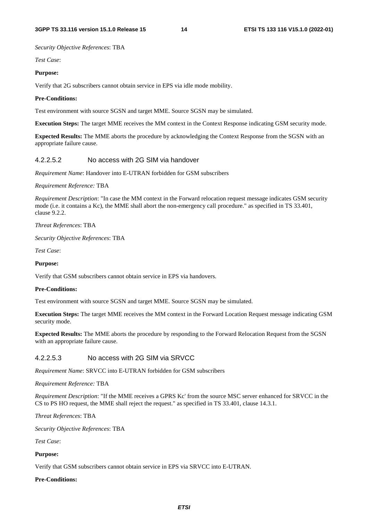*Security Objective References*: TBA

*Test Case*:

#### **Purpose:**

Verify that 2G subscribers cannot obtain service in EPS via idle mode mobility.

#### **Pre-Conditions:**

Test environment with source SGSN and target MME. Source SGSN may be simulated.

**Execution Steps:** The target MME receives the MM context in the Context Response indicating GSM security mode.

**Expected Results:** The MME aborts the procedure by acknowledging the Context Response from the SGSN with an appropriate failure cause.

#### 4.2.2.5.2 No access with 2G SIM via handover

*Requirement Name*: Handover into E-UTRAN forbidden for GSM subscribers

*Requirement Reference:* TBA

*Requirement Description*: "In case the MM context in the Forward relocation request message indicates GSM security mode (i.e. it contains a Kc), the MME shall abort the non-emergency call procedure." as specified in TS 33.401, clause 9.2.2.

*Threat References*: TBA

*Security Objective References*: TBA

*Test Case*:

#### **Purpose:**

Verify that GSM subscribers cannot obtain service in EPS via handovers.

#### **Pre-Conditions:**

Test environment with source SGSN and target MME. Source SGSN may be simulated.

**Execution Steps:** The target MME receives the MM context in the Forward Location Request message indicating GSM security mode.

**Expected Results:** The MME aborts the procedure by responding to the Forward Relocation Request from the SGSN with an appropriate failure cause.

#### 4.2.2.5.3 No access with 2G SIM via SRVCC

*Requirement Name*: SRVCC into E-UTRAN forbidden for GSM subscribers

*Requirement Reference:* TBA

*Requirement Description*: "If the MME receives a GPRS Kc' from the source MSC server enhanced for SRVCC in the CS to PS HO request, the MME shall reject the request." as specified in TS 33.401, clause 14.3.1.

*Threat References*: TBA

*Security Objective References*: TBA

*Test Case*:

#### **Purpose:**

Verify that GSM subscribers cannot obtain service in EPS via SRVCC into E-UTRAN.

#### **Pre-Conditions:**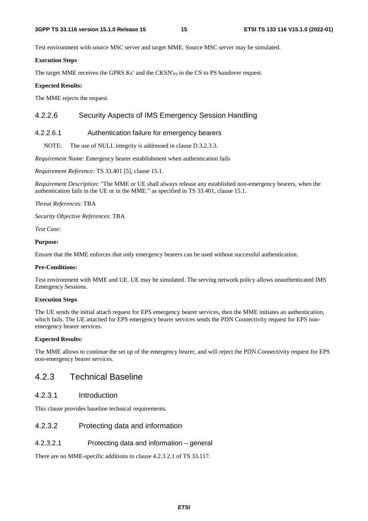Test environment with source MSC server and target MME. Source MSC server may be simulated.

### **Execution Steps**

The target MME receives the GPRS Kc' and the CKSN'<sub>PS</sub> in the CS to PS handover request.

### **Expected Results:**

The MME rejects the request.

# 4.2.2.6 Security Aspects of IMS Emergency Session Handling

### 4.2.2.6.1 Authentication failure for emergency bearers

NOTE: The use of NULL integrity is addressed in clause D.3.2.3.3.

*Requirement Name*: Emergency bearer establishment when authentication fails

*Requirement Reference:* TS 33.401 [5], clause 15.1.

*Requirement Description*: "The MME or UE shall always release any established non-emergency bearers, when the authentication fails in the UE or in the MME." as specified in TS 33.401, clause 15.1.

*Threat References*: TBA

*Security Objective References*: TBA

*Test Case*:

#### **Purpose:**

Ensure that the MME enforces that only emergency bearers can be used without successful authentication.

#### **Pre-Conditions:**

Test environment with MME and UE. UE may be simulated. The serving network policy allows unauthenticated IMS Emergency Sessions.

#### **Execution Steps**

The UE sends the initial attach request for EPS emergency bearer services, then the MME initiates an authentication, which fails. The UE attached for EPS emergency bearer services sends the PDN Connectivity request for EPS nonemergency bearer services.

#### **Expected Results:**

The MME allows to continue the set up of the emergency bearer, and will reject the PDN Connectivity request for EPS non-emergency bearer services.

# 4.2.3 Technical Baseline

### 4.2.3.1 Introduction

This clause provides baseline technical requirements.

### 4.2.3.2 Protecting data and information

#### 4.2.3.2.1 Protecting data and information – general

There are no MME-specific additions to clause 4.2.3.2.1 of TS 33.117.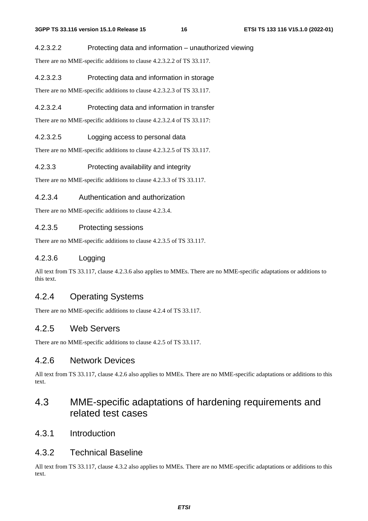#### 4.2.3.2.2 Protecting data and information – unauthorized viewing

There are no MME-specific additions to clause 4.2.3.2.2 of TS 33.117.

#### 4.2.3.2.3 Protecting data and information in storage

There are no MME-specific additions to clause 4.2.3.2.3 of TS 33.117.

### 4.2.3.2.4 Protecting data and information in transfer

There are no MME-specific additions to clause 4.2.3.2.4 of TS 33.117:

#### 4.2.3.2.5 Logging access to personal data

There are no MME-specific additions to clause 4.2.3.2.5 of TS 33.117.

#### 4.2.3.3 Protecting availability and integrity

There are no MME-specific additions to clause 4.2.3.3 of TS 33.117.

#### 4.2.3.4 Authentication and authorization

There are no MME-specific additions to clause 4.2.3.4.

### 4.2.3.5 Protecting sessions

There are no MME-specific additions to clause 4.2.3.5 of TS 33.117.

### 4.2.3.6 Logging

All text from TS 33.117, clause 4.2.3.6 also applies to MMEs. There are no MME-specific adaptations or additions to this text.

# 4.2.4 Operating Systems

There are no MME-specific additions to clause 4.2.4 of TS 33.117.

### 4.2.5 Web Servers

There are no MME-specific additions to clause 4.2.5 of TS 33.117.

### 4.2.6 Network Devices

All text from TS 33.117, clause 4.2.6 also applies to MMEs. There are no MME-specific adaptations or additions to this text.

# 4.3 MME-specific adaptations of hardening requirements and related test cases

4.3.1 Introduction

## 4.3.2 Technical Baseline

All text from TS 33.117, clause 4.3.2 also applies to MMEs. There are no MME-specific adaptations or additions to this text.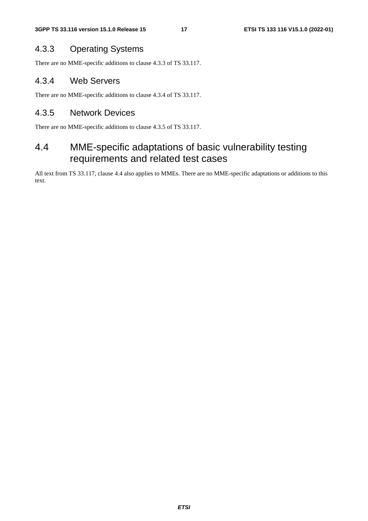# 4.3.3 Operating Systems

There are no MME-specific additions to clause 4.3.3 of TS 33.117.

# 4.3.4 Web Servers

There are no MME-specific additions to clause 4.3.4 of TS 33.117.

# 4.3.5 Network Devices

There are no MME-specific additions to clause 4.3.5 of TS 33.117.

# 4.4 MME-specific adaptations of basic vulnerability testing requirements and related test cases

All text from TS 33.117, clause 4.4 also applies to MMEs. There are no MME-specific adaptations or additions to this text.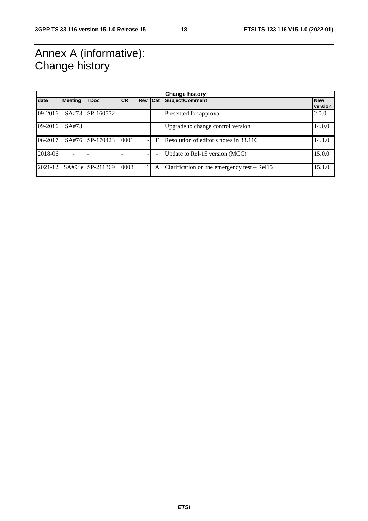# Annex A (informative): Change history

| <b>Change history</b> |                |                  |           |            |                          |                                               |                       |
|-----------------------|----------------|------------------|-----------|------------|--------------------------|-----------------------------------------------|-----------------------|
| date                  | <b>Meeting</b> | <b>TDoc</b>      | <b>CR</b> | <b>Rev</b> | Cat                      | Subject/Comment                               | <b>New</b><br>version |
| 09-2016               | SA#73          | SP-160572        |           |            |                          | Presented for approval                        | 2.0.0                 |
| $09-2016$             | SA#73          |                  |           |            |                          | Upgrade to change control version             | 14.0.0                |
| 06-2017               | SA#76          | SP-170423        | 0001      |            | F                        | Resolution of editor's notes in 33.116        | 14.1.0                |
| 2018-06               |                |                  |           |            | $\overline{\phantom{a}}$ | Update to Rel-15 version (MCC)                | 15.0.0                |
| 2021-12               |                | SA#94e SP-211369 | 0003      |            | A                        | Clarification on the emergency test $-$ Rel15 | 15.1.0                |